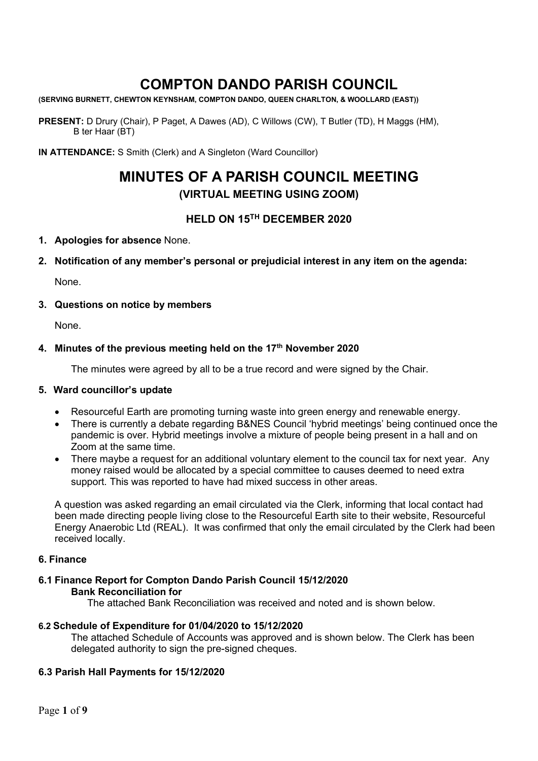# **COMPTON DANDO PARISH COUNCIL**

**(SERVING BURNETT, CHEWTON KEYNSHAM, COMPTON DANDO, QUEEN CHARLTON, & WOOLLARD (EAST))**

**PRESENT:** D Drury (Chair), P Paget, A Dawes (AD), C Willows (CW), T Butler (TD), H Maggs (HM), B ter Haar (BT)

**IN ATTENDANCE:** S Smith (Clerk) and A Singleton (Ward Councillor)

# **MINUTES OF A PARISH COUNCIL MEETING (VIRTUAL MEETING USING ZOOM)**

## **HELD ON 15TH DECEMBER 2020**

### **1. Apologies for absence** None.

**2. Notification of any member's personal or prejudicial interest in any item on the agenda:**

None.

### **3. Questions on notice by members**

None.

### **4. Minutes of the previous meeting held on the 17th November 2020**

The minutes were agreed by all to be a true record and were signed by the Chair.

### **5. Ward councillor's update**

- Resourceful Earth are promoting turning waste into green energy and renewable energy.
- There is currently a debate regarding B&NES Council 'hybrid meetings' being continued once the pandemic is over. Hybrid meetings involve a mixture of people being present in a hall and on Zoom at the same time.
- There maybe a request for an additional voluntary element to the council tax for next year. Any money raised would be allocated by a special committee to causes deemed to need extra support. This was reported to have had mixed success in other areas.

A question was asked regarding an email circulated via the Clerk, informing that local contact had been made directing people living close to the Resourceful Earth site to their website, Resourceful Energy Anaerobic Ltd (REAL). It was confirmed that only the email circulated by the Clerk had been received locally.

### **6. Finance**

### **6.1 Finance Report for Compton Dando Parish Council 15/12/2020 Bank Reconciliation for**

The attached Bank Reconciliation was received and noted and is shown below.

### **6.2 Schedule of Expenditure for 01/04/2020 to 15/12/2020**

The attached Schedule of Accounts was approved and is shown below. The Clerk has been delegated authority to sign the pre-signed cheques.

### **6.3 Parish Hall Payments for 15/12/2020**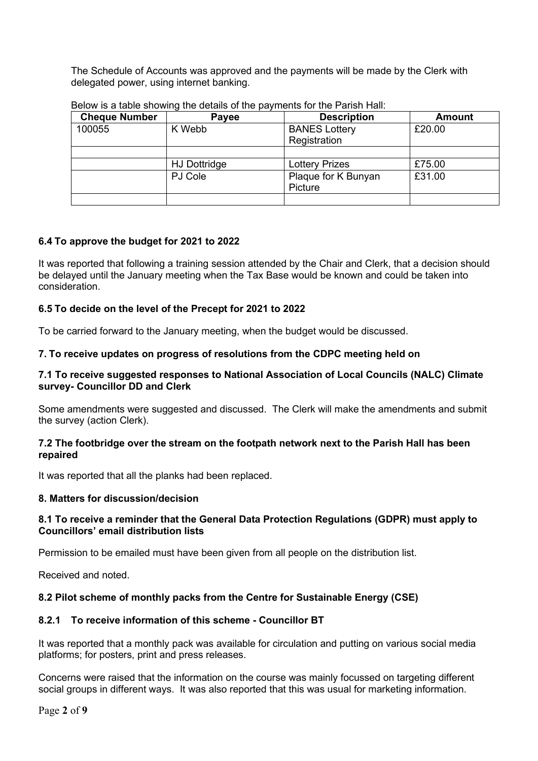The Schedule of Accounts was approved and the payments will be made by the Clerk with delegated power, using internet banking.

| <b>Cheque Number</b> | Payee               | <b>Description</b>    | <b>Amount</b> |
|----------------------|---------------------|-----------------------|---------------|
| 100055               | K Webb              | <b>BANES Lottery</b>  | £20.00        |
|                      |                     | Registration          |               |
|                      |                     |                       |               |
|                      | <b>HJ Dottridge</b> | <b>Lottery Prizes</b> | £75.00        |
|                      | PJ Cole             | Plaque for K Bunyan   | £31.00        |
|                      |                     | <b>Picture</b>        |               |
|                      |                     |                       |               |

Below is a table showing the details of the payments for the Parish Hall:

## **6.4 To approve the budget for 2021 to 2022**

It was reported that following a training session attended by the Chair and Clerk, that a decision should be delayed until the January meeting when the Tax Base would be known and could be taken into consideration.

### **6.5 To decide on the level of the Precept for 2021 to 2022**

To be carried forward to the January meeting, when the budget would be discussed.

### **7. To receive updates on progress of resolutions from the CDPC meeting held on**

### **7.1 To receive suggested responses to National Association of Local Councils (NALC) Climate survey- Councillor DD and Clerk**

Some amendments were suggested and discussed. The Clerk will make the amendments and submit the survey (action Clerk).

#### **7.2 The footbridge over the stream on the footpath network next to the Parish Hall has been repaired**

It was reported that all the planks had been replaced.

### **8. Matters for discussion/decision**

### **8.1 To receive a reminder that the General Data Protection Regulations (GDPR) must apply to Councillors' email distribution lists**

Permission to be emailed must have been given from all people on the distribution list.

Received and noted.

## **8.2 Pilot scheme of monthly packs from the Centre for Sustainable Energy (CSE)**

## **8.2.1 To receive information of this scheme - Councillor BT**

It was reported that a monthly pack was available for circulation and putting on various social media platforms; for posters, print and press releases.

Concerns were raised that the information on the course was mainly focussed on targeting different social groups in different ways. It was also reported that this was usual for marketing information.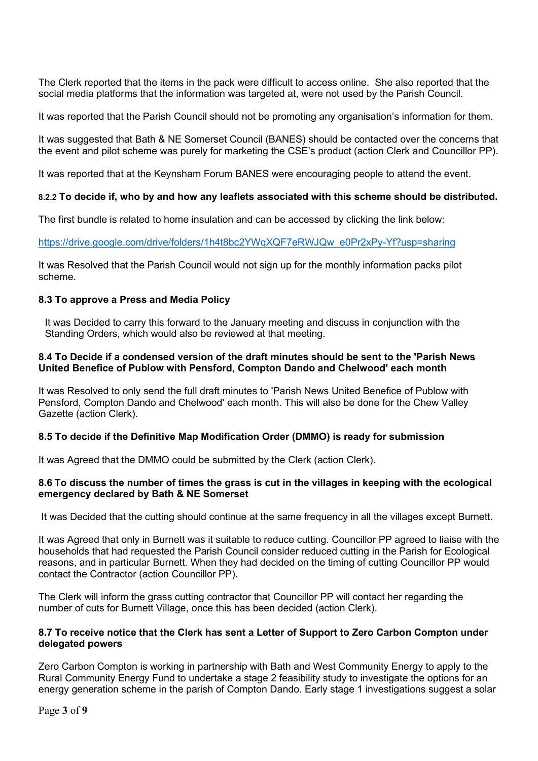The Clerk reported that the items in the pack were difficult to access online. She also reported that the social media platforms that the information was targeted at, were not used by the Parish Council.

It was reported that the Parish Council should not be promoting any organisation's information for them.

It was suggested that Bath & NE Somerset Council (BANES) should be contacted over the concerns that the event and pilot scheme was purely for marketing the CSE's product (action Clerk and Councillor PP).

It was reported that at the Keynsham Forum BANES were encouraging people to attend the event.

### **8.2.2 To decide if, who by and how any leaflets associated with this scheme should be distributed.**

The first bundle is related to home insulation and can be accessed by clicking the link below:

[https://drive.google.com/drive/folders/1h4t8bc2YWqXQF7eRWJQw\\_e0Pr2xPy-Yf?usp=sharing](https://drive.google.com/drive/folders/1h4t8bc2YWqXQF7eRWJQw_e0Pr2xPy-Yf?usp=sharing)

It was Resolved that the Parish Council would not sign up for the monthly information packs pilot scheme.

### **8.3 To approve a Press and Media Policy**

It was Decided to carry this forward to the January meeting and discuss in conjunction with the Standing Orders, which would also be reviewed at that meeting.

#### **8.4 To Decide if a condensed version of the draft minutes should be sent to the 'Parish News United Benefice of Publow with Pensford, Compton Dando and Chelwood' each month**

It was Resolved to only send the full draft minutes to 'Parish News United Benefice of Publow with Pensford, Compton Dando and Chelwood' each month. This will also be done for the Chew Valley Gazette (action Clerk).

### **8.5 To decide if the Definitive Map Modification Order (DMMO) is ready for submission**

It was Agreed that the DMMO could be submitted by the Clerk (action Clerk).

#### **8.6 To discuss the number of times the grass is cut in the villages in keeping with the ecological emergency declared by Bath & NE Somerset**

It was Decided that the cutting should continue at the same frequency in all the villages except Burnett.

It was Agreed that only in Burnett was it suitable to reduce cutting. Councillor PP agreed to liaise with the households that had requested the Parish Council consider reduced cutting in the Parish for Ecological reasons, and in particular Burnett. When they had decided on the timing of cutting Councillor PP would contact the Contractor (action Councillor PP).

The Clerk will inform the grass cutting contractor that Councillor PP will contact her regarding the number of cuts for Burnett Village, once this has been decided (action Clerk).

#### **8.7 To receive notice that the Clerk has sent a Letter of Support to Zero Carbon Compton under delegated powers**

Zero Carbon Compton is working in partnership with Bath and West Community Energy to apply to the Rural Community Energy Fund to undertake a stage 2 feasibility study to investigate the options for an energy generation scheme in the parish of Compton Dando. Early stage 1 investigations suggest a solar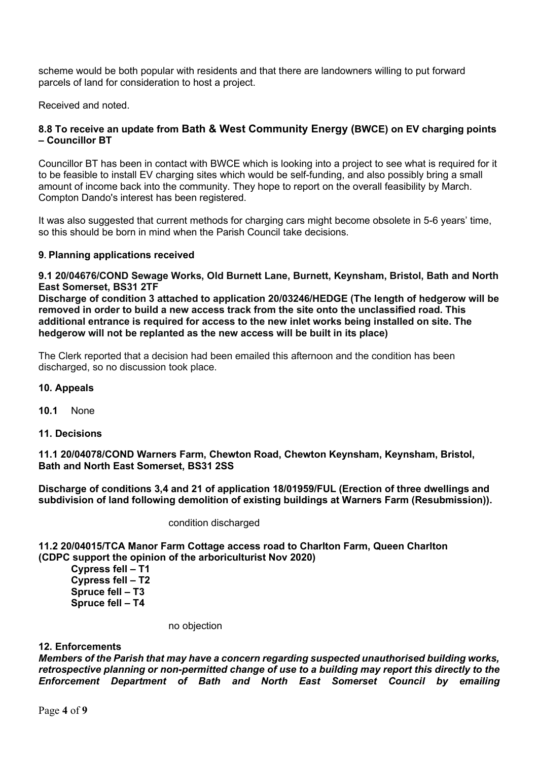scheme would be both popular with residents and that there are landowners willing to put forward parcels of land for consideration to host a project.

Received and noted.

### **8.8 To receive an update from Bath & West Community Energy (BWCE) on EV charging points – Councillor BT**

Councillor BT has been in contact with BWCE which is looking into a project to see what is required for it to be feasible to install EV charging sites which would be self-funding, and also possibly bring a small amount of income back into the community. They hope to report on the overall feasibility by March. Compton Dando's interest has been registered.

It was also suggested that current methods for charging cars might become obsolete in 5-6 years' time, so this should be born in mind when the Parish Council take decisions.

#### **9. Planning applications received**

**9.1 20/04676/COND Sewage Works, Old Burnett Lane, Burnett, Keynsham, Bristol, Bath and North East Somerset, BS31 2TF**

**Discharge of condition 3 attached to application 20/03246/HEDGE (The length of hedgerow will be removed in order to build a new access track from the site onto the unclassified road. This additional entrance is required for access to the new inlet works being installed on site. The hedgerow will not be replanted as the new access will be built in its place)**

The Clerk reported that a decision had been emailed this afternoon and the condition has been discharged, so no discussion took place.

#### **10. Appeals**

- **10.1** None
- **11. Decisions**

**11.1 20/04078/COND Warners Farm, Chewton Road, Chewton Keynsham, Keynsham, Bristol, Bath and North East Somerset, BS31 2SS**

**Discharge of conditions 3,4 and 21 of application 18/01959/FUL (Erection of three dwellings and subdivision of land following demolition of existing buildings at Warners Farm (Resubmission)).**

condition discharged

**11.2 20/04015/TCA Manor Farm Cottage access road to Charlton Farm, Queen Charlton (CDPC support the opinion of the arboriculturist Nov 2020)**

**Cypress fell – T1 Cypress fell – T2 Spruce fell – T3 Spruce fell – T4**

no objection

#### **12. Enforcements**

*Members of the Parish that may have a concern regarding suspected unauthorised building works, retrospective planning or non-permitted change of use to a building may report this directly to the Enforcement Department of Bath and North East Somerset Council by emailing*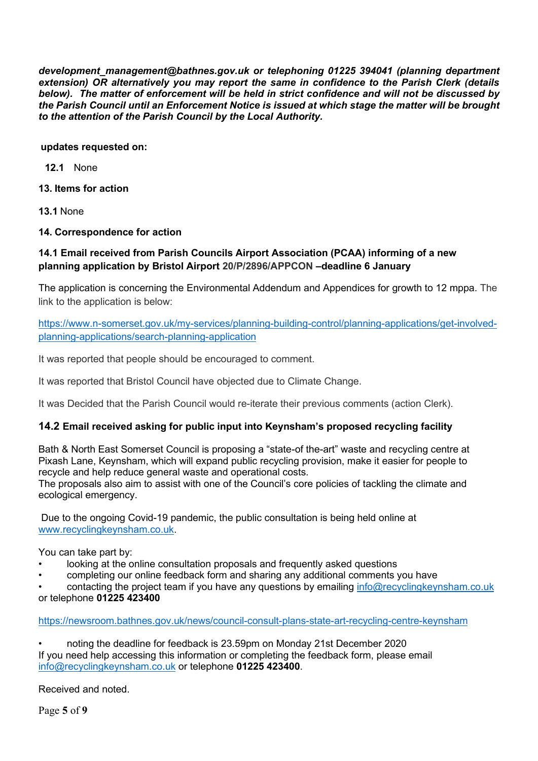*development\_management@bathnes.gov.uk or telephoning 01225 394041 (planning department extension) OR alternatively you may report the same in confidence to the Parish Clerk (details below). The matter of enforcement will be held in strict confidence and will not be discussed by the Parish Council until an Enforcement Notice is issued at which stage the matter will be brought to the attention of the Parish Council by the Local Authority.*

**updates requested on:**

**12.1** None

**13. Items for action**

**13.1** None

**14. Correspondence for action**

## **14.1 Email received from Parish Councils Airport Association (PCAA) informing of a new planning application by Bristol Airport 20/P/2896/APPCON –deadline 6 January**

The application is concerning the Environmental Addendum and Appendices for growth to 12 mppa. The link to the application is below:

[https://www.n-somerset.gov.uk/my-services/planning-building-control/planning-applications/get-involved](https://www.n-somerset.gov.uk/my-services/planning-building-control/planning-applications/get-involved-planning-applications/search-planning-application)[planning-applications/search-planning-application](https://www.n-somerset.gov.uk/my-services/planning-building-control/planning-applications/get-involved-planning-applications/search-planning-application)

It was reported that people should be encouraged to comment.

It was reported that Bristol Council have objected due to Climate Change.

It was Decided that the Parish Council would re-iterate their previous comments (action Clerk).

## **14.2 Email received asking for public input into Keynsham's proposed recycling facility**

Bath & North East Somerset Council is proposing a "state-of the-art" waste and recycling centre at Pixash Lane, Keynsham, which will expand public recycling provision, make it easier for people to recycle and help reduce general waste and operational costs.

The proposals also aim to assist with one of the Council's core policies of tackling the climate and ecological emergency.

Due to the ongoing Covid-19 pandemic, the public consultation is being held online at [www.recyclingkeynsham.co.uk.](http://www.recyclingkeynsham.co.uk/)

You can take part by:

- looking at the online consultation proposals and frequently asked questions
- completing our online feedback form and sharing any additional comments you have

contacting the project team if you have any questions by emailing [info@recyclingkeynsham.co.uk](mailto:info@recyclingkeynsham.co.uk)

or telephone **01225 423400**

<https://newsroom.bathnes.gov.uk/news/council-consult-plans-state-art-recycling-centre-keynsham>

• noting the deadline for feedback is 23.59pm on Monday 21st December 2020 If you need help accessing this information or completing the feedback form, please email [info@recyclingkeynsham.co.uk](mailto:info@recyclingkeynsham.co.uk) or telephone **01225 423400**.

Received and noted.

Page **5** of **9**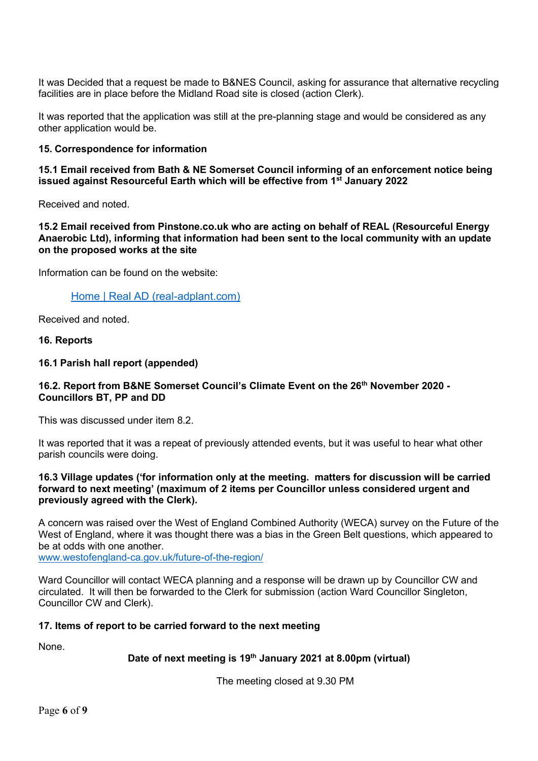It was Decided that a request be made to B&NES Council, asking for assurance that alternative recycling facilities are in place before the Midland Road site is closed (action Clerk).

It was reported that the application was still at the pre-planning stage and would be considered as any other application would be.

#### **15. Correspondence for information**

**15.1 Email received from Bath & NE Somerset Council informing of an enforcement notice being issued against Resourceful Earth which will be effective from 1st January 2022**

Received and noted.

**15.2 Email received from Pinstone.co.uk who are acting on behalf of REAL (Resourceful Energy Anaerobic Ltd), informing that information had been sent to the local community with an update on the proposed works at the site**

Information can be found on the website:

[Home | Real AD \(real-adplant.com\)](http://real-adplant.com/#about)

Received and noted.

#### **16. Reports**

#### **16.1 Parish hall report (appended)**

### **16.2. Report from B&NE Somerset Council's Climate Event on the 26th November 2020 - Councillors BT, PP and DD**

This was discussed under item 8.2.

It was reported that it was a repeat of previously attended events, but it was useful to hear what other parish councils were doing.

#### **16.3 Village updates ('for information only at the meeting. matters for discussion will be carried forward to next meeting' (maximum of 2 items per Councillor unless considered urgent and previously agreed with the Clerk).**

A concern was raised over the West of England Combined Authority (WECA) survey on the Future of the West of England, where it was thought there was a bias in the Green Belt questions, which appeared to be at odds with one another.

[www.westofengland-ca.gov.uk/future-of-the-region/](http://www.westofengland-ca.gov.uk/future-of-the-region/)

Ward Councillor will contact WECA planning and a response will be drawn up by Councillor CW and circulated. It will then be forwarded to the Clerk for submission (action Ward Councillor Singleton, Councillor CW and Clerk).

#### **17. Items of report to be carried forward to the next meeting**

None.

### **Date of next meeting is 19th January 2021 at 8.00pm (virtual)**

The meeting closed at 9.30 PM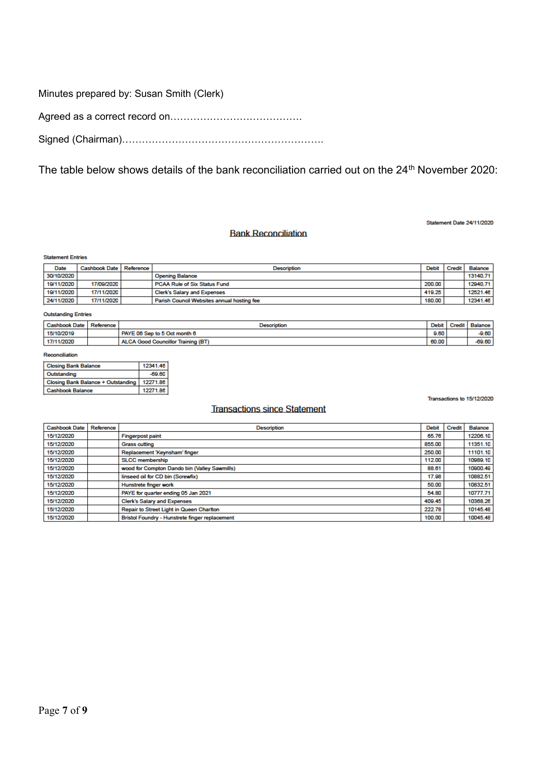Minutes prepared by: Susan Smith (Clerk)

Agreed as a correct record on………………………………….

Signed (Chairman)…………………………………………………….

The table below shows details of the bank reconciliation carried out on the 24<sup>th</sup> November 2020:

#### **Bank Reconciliation**

Statement Date 24/11/2020

Transactions to 15/12/2020

#### **Statement Entries**

| Date       | Cashbook Date   Reference | <b>Description</b>                         | Debit  | Credit | Balance  |
|------------|---------------------------|--------------------------------------------|--------|--------|----------|
| 30/10/2020 |                           | <b>Opening Balance</b>                     |        |        | 13140.71 |
| 19/11/2020 | 17/09/2020                | PCAA Rule of Six Status Fund               | 200.00 |        | 12940.71 |
| 19/11/2020 | 17/11/2020                | <b>Clerk's Salary and Expenses</b>         | 419.25 |        | 12521.46 |
| 24/11/2020 | 17/11/2020                | Parish Council Websites annual hosting fee | 180.00 |        | 12341.46 |

#### **Outstanding Entries**

| Cashbook Date | Reference | Description                               | Debit | <b>Credit</b> | Balance, |
|---------------|-----------|-------------------------------------------|-------|---------------|----------|
| 15/10/2019    |           | PAYE 06 Sep to 5 Oct month 6              | 9.60  |               | $-9.60$  |
| 17/11/2020    |           | <b>ALCA Good Councillor Training (BT)</b> | 60.00 |               | $-69.60$ |

#### Reconciliation

| <b>Closing Bank Balance</b>        | 12341.46 |
|------------------------------------|----------|
| Outstanding                        | $-69.60$ |
| Closing Bank Balance + Outstanding | 12271.86 |
| <b>Cashbook Balance</b>            | 12271.86 |

#### **Transactions since Statement**

Cashbook Date Reference **Description** Debit Credit Balance 15/12/2020 **Fingerpost paint** 65.76 12206.10 15/12/2020 **Grass cutting** 855.00 11351.10 15/12/2020 Replacement 'Keynsham' finger 250.00 11101.10 SLCC membership 15/12/2020 112.00 10989.10 15/12/2020 wood for Compton Dando bin (Valley Sawmills) 88.61 10900.49 15/12/2020 linseed oil for CD bin (Screwfix) 17.98 10882.51 15/12/2020 Hunstrete finger work 50.00 10832.51 54.80 10777.71 15/12/2020 PAYE for quarter ending 05 Jan 2021 10368.26 15/12/2020 **Clerk's Salary and Expenses** 409.45 10145.48 15/12/2020 Repair to Street Light in Queen Charlton 222.78 15/12/2020 Bristol Foundry - Hunstrete finger replacement 100.00 10045.48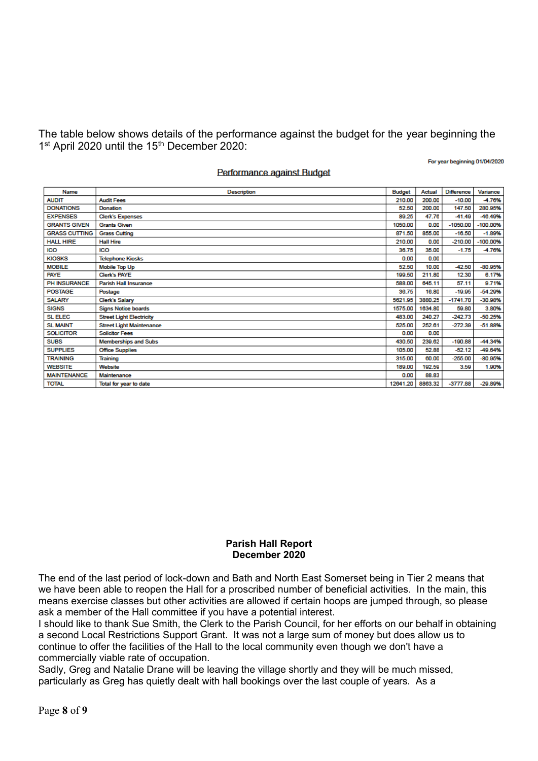The table below shows details of the performance against the budget for the year beginning the 1<sup>st</sup> April 2020 until the 15<sup>th</sup> December 2020:

For year beginning 01/04/2020

#### Performance against Budget

| Name                 | <b>Description</b>              | <b>Budget</b> | Actual  | <b>Difference</b> | Variance   |
|----------------------|---------------------------------|---------------|---------|-------------------|------------|
| <b>AUDIT</b>         | <b>Audit Fees</b>               | 210.00        | 200.00  | $-10.00$          | -4.76%     |
| <b>DONATIONS</b>     | Donation                        | 52.50         | 200.00  | 147.50            | 280.95%    |
| <b>EXPENSES</b>      | <b>Clerk's Expenses</b>         | 89.25         | 47.76   | $-41.49$          | -46.49%    |
| <b>GRANTS GIVEN</b>  | <b>Grants Given</b>             | 1050.00       | 0.00    | $-1050.00$        | $-100.00%$ |
| <b>GRASS CUTTING</b> | <b>Grass Cutting</b>            | 871.50        | 855.00  | $-16.50$          | $-1.89%$   |
| <b>HALL HIRE</b>     | <b>Hall Hire</b>                | 210.00        | 0.00    | $-210.00$         | $-100.00%$ |
| <b>ICO</b>           | ICO                             | 36.75         | 35.00   | $-1.75$           | -4.76%     |
| <b>KIOSKS</b>        | <b>Telephone Kiosks</b>         | 0.00          | 0.00    |                   |            |
| <b>MOBILE</b>        | <b>Mobile Top Up</b>            | 52.50         | 10.00   | $-42.50$          | $-80.95%$  |
| <b>PAYE</b>          | <b>Clerk's PAYE</b>             | 199.50        | 211.80  | 12.30             | 6.17%      |
| <b>PH INSURANCE</b>  | Parish Hall Insurance           | 588.00        | 645.11  | 57.11             | 9.71%      |
| <b>POSTAGE</b>       | Postage                         | 36.75         | 16.80   | $-19.95$          | $-54.29%$  |
| <b>SALARY</b>        | <b>Clerk's Salary</b>           | 5621.95       | 3880.25 | $-1741.70$        | $-30.98%$  |
| <b>SIGNS</b>         | <b>Signs Notice boards</b>      | 1575.00       | 1634.80 | 59.80             | 3.80%      |
| <b>SL ELEC</b>       | <b>Street Light Electricity</b> | 483.00        | 240.27  | $-242.73$         | $-50.25%$  |
| <b>SL MAINT</b>      | <b>Street Light Maintenance</b> | 525.00        | 252.61  | $-272.39$         | $-51.88%$  |
| <b>SOLICITOR</b>     | <b>Solicitor Fees</b>           | 0.00          | 0.00    |                   |            |
| <b>SUBS</b>          | <b>Memberships and Subs</b>     | 430.50        | 239.62  | $-190.88$         | -44.34%    |
| <b>SUPPLIES</b>      | <b>Office Supplies</b>          | 105.00        | 52.88   | $-52.12$          | -49.64%    |
| <b>TRAINING</b>      | Training                        | 315.00        | 60.00   | $-255.00$         | $-80.95%$  |
| <b>WEBSITE</b>       | Website                         | 189,00        | 192.59  | 3.59              | 1.90%      |
| <b>MAINTENANCE</b>   | Maintenance                     | 0.00          | 88.83   |                   |            |
| <b>TOTAL</b>         | Total for year to date          | 12641.20      | 8863.32 | $-3777.88$        | $-29.89%$  |

#### **Parish Hall Report December 2020**

The end of the last period of lock-down and Bath and North East Somerset being in Tier 2 means that we have been able to reopen the Hall for a proscribed number of beneficial activities. In the main, this means exercise classes but other activities are allowed if certain hoops are jumped through, so please ask a member of the Hall committee if you have a potential interest.

I should like to thank Sue Smith, the Clerk to the Parish Council, for her efforts on our behalf in obtaining a second Local Restrictions Support Grant. It was not a large sum of money but does allow us to continue to offer the facilities of the Hall to the local community even though we don't have a commercially viable rate of occupation.

Sadly, Greg and Natalie Drane will be leaving the village shortly and they will be much missed, particularly as Greg has quietly dealt with hall bookings over the last couple of years. As a